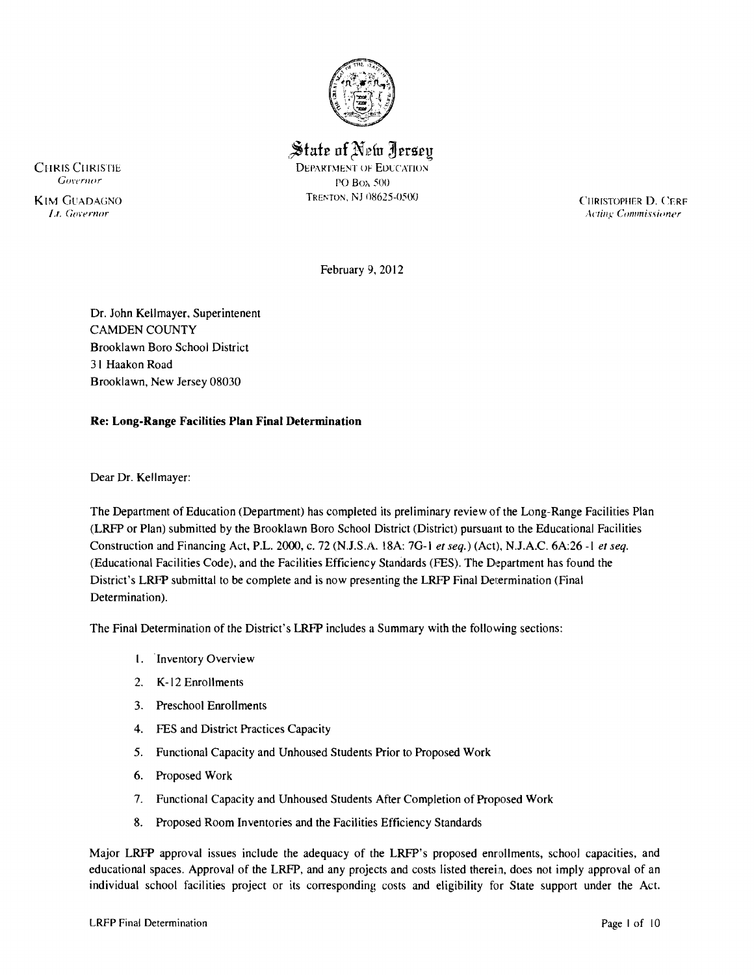

State of New Jersey

CHRIS CHRISTIE DEPARTMENT OF EDUCATION<br>
COVERANT CONSTRUCT PO Box 500

TRENTON, NJ 08625-0500 CHRISTOPHER D, CERE<br> *Lt. Governor* Acting Commissioner *Acting Commissioner* 

February 9, 2012

Dr. John Kellmayer, Superintenent CAMDEN COUNTY Brooklawn Boro School District 3 I Haakon Road Brooklawn, New Jersey 08030

## **Re: Long-Range Facilities Plan Final Determination**

Dear Dr. Kellmayer:

The Department of Education (Department) has completed its preliminary review of the Long-Range Facilities Plan (LRFP or Plan) submitted by the Brooklawn Boro School District (District) pursuant to the Educational Facilities Construction and Financing Act, P.L. 2000, c. 72 (NJ.S.A.. 18A: 70-1 *et seq.)* (Act), N.J.A.C. 6A:26 -I *et seq.*  (Educational Facilities Code), and the Facilities Efficiency Standards (FES). The Department has found the District's LRFP submittal to be complete and is now presenting the LRFP Final Determination (Final Determination).

The Final Determination of the District's LRFP includes a Summary with the following sections:

- I. 'Inventory Overview
- 2. K-12 Enrollments
- 3. Preschool Enrollments
- 4. FES and District Practices Capacity
- 5. Functional Capacity and Unhoused Students Prior to Proposed Work
- 6. Proposed Work
- 7. Functional Capacity and Unhoused Students After Completion of Proposed Work
- 8. Proposed Room Inventories and the Facilities Efficiency Standards

Major LRFP approval issues include the adequacy of the LRFP's proposed enrollments, school capacities, and educational spaces. Approval of the LRFP, and any projects and costs listed therein, does not imply approval of an individual school facilities project or its corresponding costs and eligibility for State support under the Act.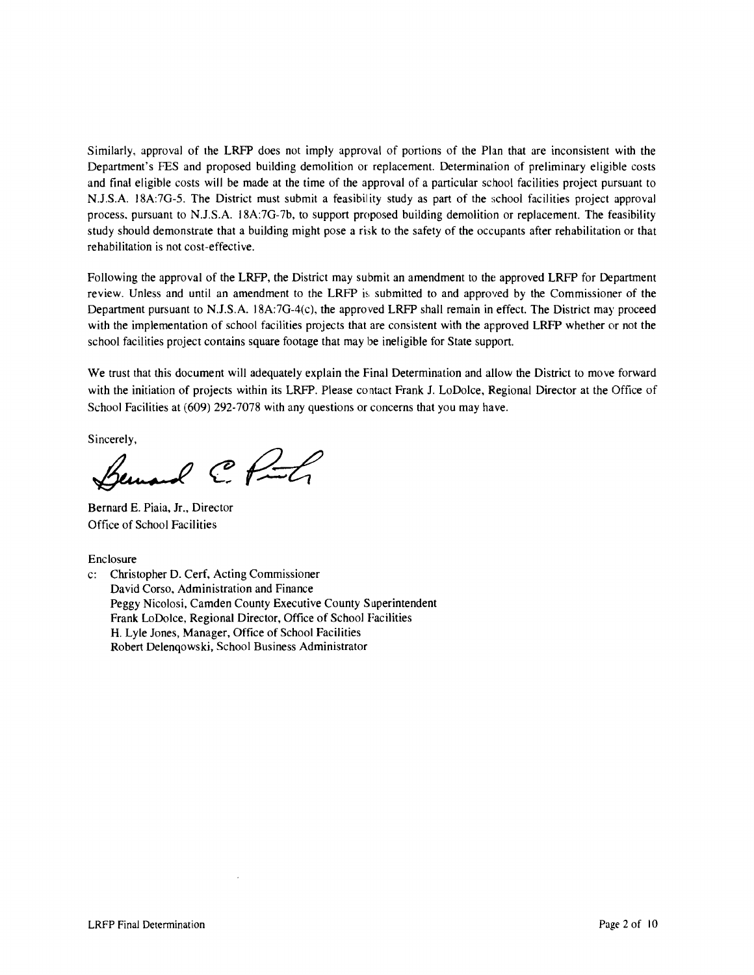Similarly, approval of the LRFP does not imply approval of portions of the Plan that are inconsistent with the Department's FES and proposed building demolition or replacement. Determination of preliminary eligible costs and final eligible costs will be made at the time of the approval of a particular school facilities project pursuant to N.J.S.A. 18A:7G-5. The District must submit a feasibility study as part of the school facilities project approval process, pursuant to NJ.S.A. 18A:7G-7b, to support proposed building demolition or replacement. The feasibility study should demonstrate that a building might pose a risk to the safety of the occupants after rehabilitation or that rehabilitation is not cost-effective.

Following the approval of the LRFP, the District may submit an amendment to the approved LRFP for Department review. Unless and until an amendment to the LRFP is submitted to and approved by the Commissioner of the Department pursuant to NJ.S.A. l8A:7G-4(c), the approved LRFP shall remain in effect. The District may proceed with the implementation of school facilities projects that are consistent with the approved LRFP whether or not the school facilities project contains square footage that may be ineligible for State support.

We trust that this document will adequately explain the Final Determination and allow the District to move forward with the initiation of projects within its LRFP. Please contact Frank J. LoDolce, Regional Director at the Office of School Facilities at (609) 292-7078 with any questions or concerns that you may have.

Sincerely,

emand C. Punch

Bernard E. Piaia, Jr., Director Office of School Facilities

Enclosure

c: Christopher D. Cerf, Acting Commissioner David Corso, Administration and Finance Peggy Nicolosi, Camden County Executive County Superintendent Frank LoDolce, Regional Director, Office of School Facilities H. Lyle Jones, Manager, Office of School Facilities Robert Delenqowski, School Business Administrator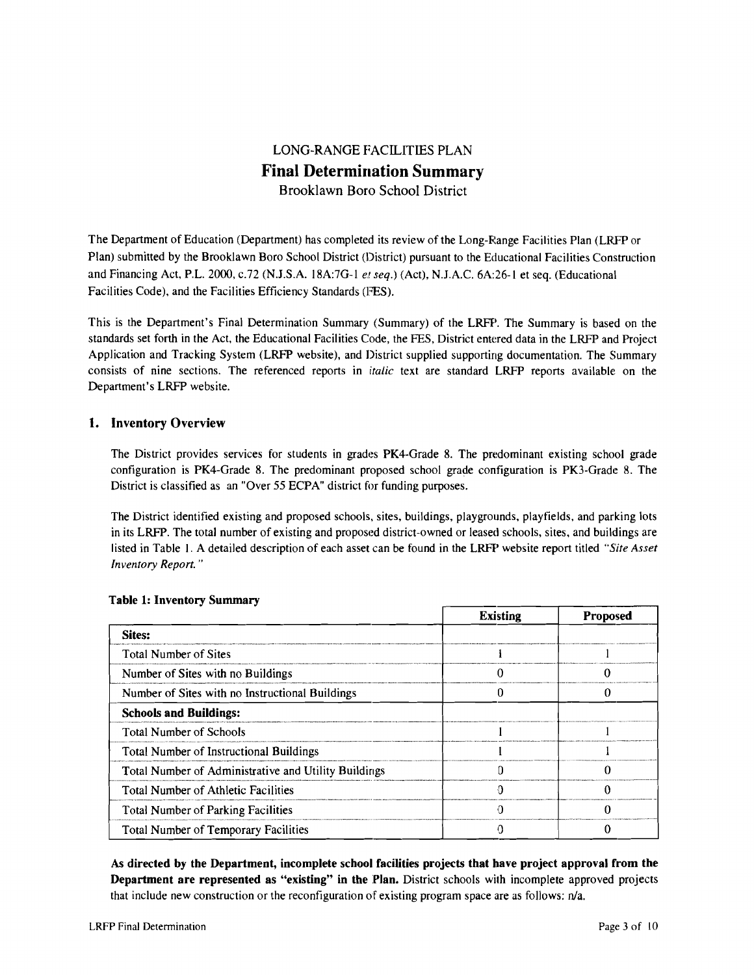# LONG-RANGE FACILITIES PLAN Final Determination Summary

Brooklawn Boro School District

The Department of Education (Department) has completed its review of the Long-Range Facilities Plan (LRFP or Plan) submitted by the Brooklawn Boro School District (District) pursuant to the Educational Facilities Construction and Financing Act, P.L. 2000, *c.*72 (N.J.S.A. 18A:7G-1 *et seq.*) (Act), N.J.A.C. 6A:26-1 et seq. (Educational Facilities Code), and the Facilities Efficiency Standards (FES).

This is the Department's Final Determination Summary (Summary) of the LRFP. The Summary is based on the standards set forth in the Act, the Educational Facilities Code, the FES, District entered data in the LRFP and Project Application and Tracking System (LRFP website), and District supplied supporting documentation. The Summary consists of nine sections. The referenced reports in *italic* text are standard LRFP reports available~ on the Department's LRFP website.

# 1. Inventory Overview

The District provides services for students in grades PK4-Grade 8. The predominant existing school grade configuration is PK4-Grade 8. The predominant proposed school grade configuration is PK3-Grade 8. The District is classified as an "Over 55 ECPA" district for funding purposes.

The District identified existing and proposed schools, sites, buildings, playgrounds, playfields, and parking lots in its LRFP. The total number of existing and proposed district-owned or leased schools, sites, and buildings are listed in Table I. A detailed description of each asset can be found in the LRFP website report titled *"Site Asset Inventory Report. "* 

|                                                      | <b>Existing</b> | <b>Proposed</b> |
|------------------------------------------------------|-----------------|-----------------|
| Sites:                                               |                 |                 |
| <b>Total Number of Sites</b>                         |                 |                 |
| Number of Sites with no Buildings                    |                 |                 |
| Number of Sites with no Instructional Buildings      |                 |                 |
| <b>Schools and Buildings:</b>                        |                 |                 |
| <b>Total Number of Schools</b>                       |                 |                 |
| <b>Total Number of Instructional Buildings</b>       |                 |                 |
| Total Number of Administrative and Utility Buildings |                 |                 |
| <b>Total Number of Athletic Facilities</b>           |                 |                 |
| <b>Total Number of Parking Facilities</b>            |                 |                 |
| <b>Total Number of Temporary Facilities</b>          |                 |                 |

#### Table 1: Inventory Summary

As directed by the Department, incomplete school facilities projects that have project approval from the Department are represented as "existing" in the Plan. District schools wilh incomplete approved projects that include new construction or the reconfiguration of existing program space are as follows: nJa.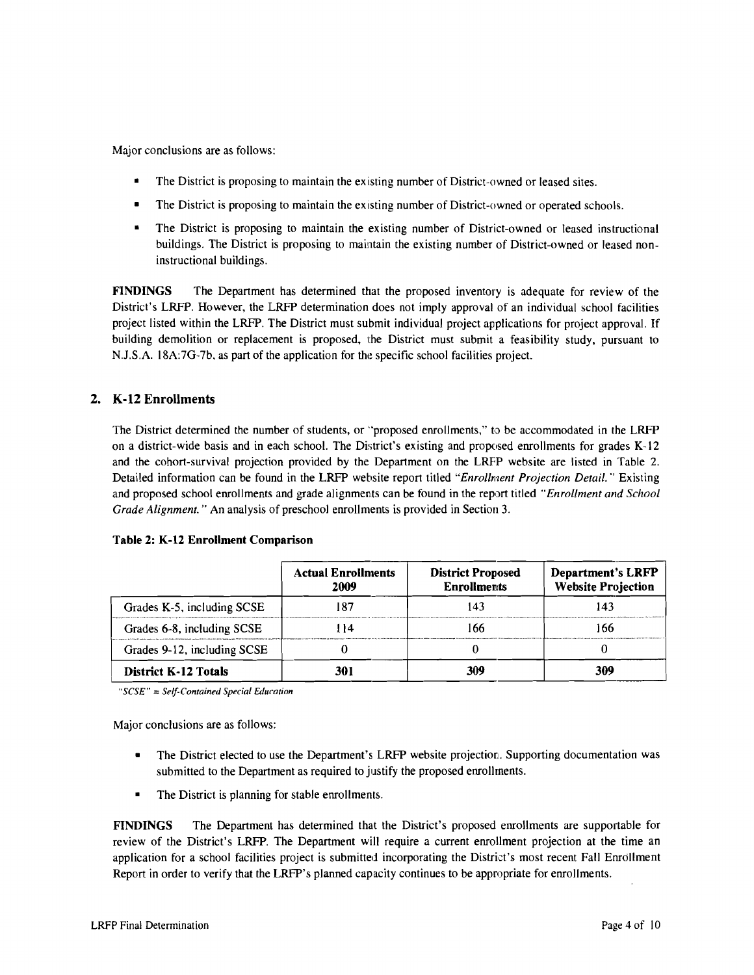Major conclusions are as follows:

- The District is proposing to maintain the existing number of District-owned or leased sites.
- The District is proposing to maintain the existing number of District-owned or operated schools.
- The District is proposing to maintain the existing number of District-owned or leased instructional buildings. The District is proposing to maintain the existing number of District-owned or leased noninstructional buildings.

FINDINGS The Department has determined that the proposed inventory is adequate for review of the District's LRFP. However, the LRFP determination does not imply approval of an individual school facilities project listed within the LRFP. The District must submit individual project applications for project approval. If building demolition or replacement is proposed, the District must submit a feasibility study, pursuant to N.J.S.A. 18A:7G-7b, as part of the application for the specific school facilities project.

# 2. K-12 Enrollments

The District determined the number of students, or "proposed enrollments," to be accommodated in the LRFP on a district-wide basis and in each school. The District's existing and proposed enrollments for grades K-12 and the cohort-survival projection provided by the Department on the LRFP website are listed in Table 2. Detailed information can be found in the LRFP website report titled "Enrollment Projection Detail." Existing and proposed school enrollments and grade alignments can be found in the report titled *"Enrollment and School Grade Alignment.* " An analysis of preschool enrollments is provided in Section 3.

|                             | <b>Actual Enrollments</b><br>2009 | <b>District Proposed</b><br><b>Enrollments</b> | <b>Department's LRFP</b><br><b>Website Projection</b> |
|-----------------------------|-----------------------------------|------------------------------------------------|-------------------------------------------------------|
| Grades K-5, including SCSE  |                                   |                                                | 43                                                    |
| Grades 6-8, including SCSE  |                                   |                                                | -66                                                   |
| Grades 9-12, including SCSE |                                   |                                                |                                                       |
| <b>District K-12 Totals</b> |                                   | 309                                            | 309                                                   |

#### Table 2: K-12 Enrollment Comparison

*"SCSE"* = *Self-Contained Special Education* 

Major conclusions are as follows:

- The District elected to use the Department's LRFP website projection. Supporting documentation was submitted to the Department as required to justify the proposed enrollments.
- The District is planning for stable enrollments.

FINDINGS The Department has determined that the District's proposed enrollments are supportable for review of the District's LRFP. The Department will require a current enrollment projection at the time an application for a school facilities project is submitted incorporating the District's most recent Fall Enrollment Report in order to verify that the LRFP's planned capacity continues to be appropriate for enrollments.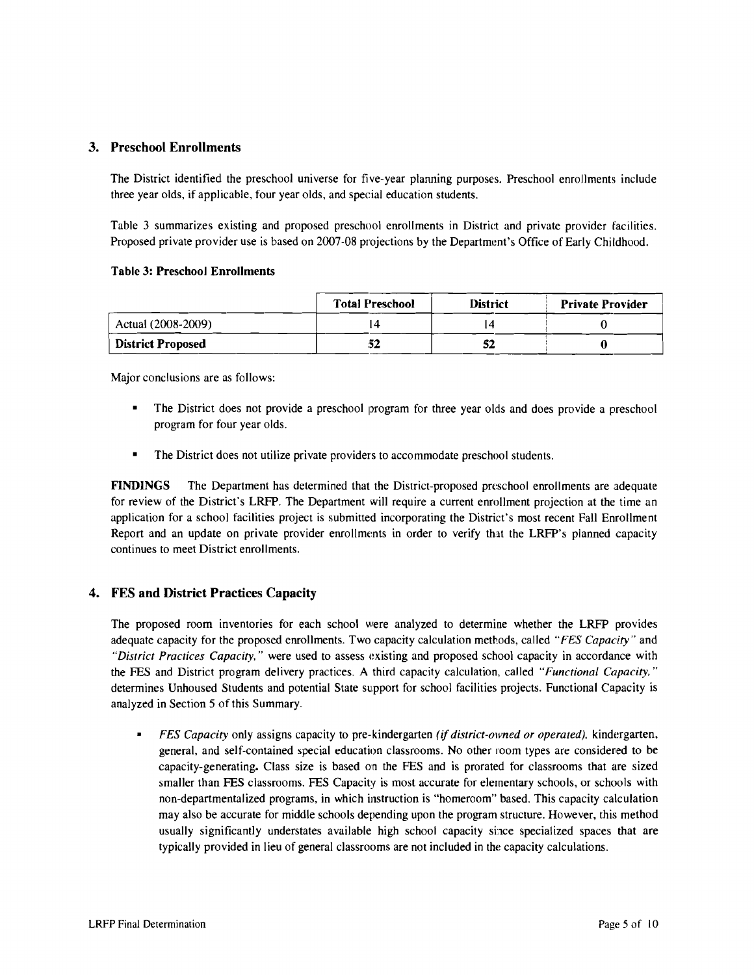#### 3. Preschool Enrollments

The District identified the preschool universe for five-year planning purposes. Preschool enroJlments include three year olds, if applicable, four year olds, and special education students.

Table 3 summarizes existing and proposed preschool enrollments in District and private provider facilities. Proposed private provider use is based on 2007-08 projections by the Department's Office of Early Childhood.

#### Table 3: Preschool Enrollments

|                          | <b>Total Preschool</b> | <b>District</b> | <b>Private Provider</b> |
|--------------------------|------------------------|-----------------|-------------------------|
| Actual (2008-2009)       |                        |                 |                         |
| <b>District Proposed</b> | 52                     | 52              |                         |

Major conclusions are as follows:

- The District does not provide a preschool program for three year olds and does provide a preschool program for four year olds.
- The District does not utilize private providers to accommodate preschool students.

FINDINGS The Department has determined that the District-proposed preschool enrollments are adequate for review of the District's LRFP. The Department will require a current enrollment projection at the time an application for a school facilities project is submitted incorporating the District's most recent Fall Enrollment Report and an update on private provider enrollments in order to verify that the LRFP's planned capacity continues to meet District enrollments.

## 4. FES and District Practices Capacity

The proposed room inventories for each school were analyzed to determine whether the LRFP provides adequate capacity for the proposed enrollments. Two capacity calculation methods, called *"FES Capacity"* and *"District Practices Capacity."* were used to assess existing and proposed school capacity in accordance with the FES and District program delivery practices. A third capacity calculation, called *"Functional Capacity."*  determines Unhoused Students and potential State support for school facilities projects. Functional Capacity is analyzed in Section 5 of this Summary.

 $\blacksquare$ *FES Capacity* only assigns capacity to pre-kindergarten *(if district-owned or operated).* kindergarten, general, and self-contained special education classrooms. No other room types are considered to be capacity-generating. Class size is based on the FES and is prorated for classrooms that are sized smaller than FES classrooms. FES Capacity is most accurate for elementary schools, or schools with non-departmentalized programs, in which instruction is "homeroom" based. This capacity calculation may also be accurate for middle schools depending upon the program structure. However, this method usually significantly understates available high school capacity since specialized spaces that are typically provided in lieu of general classrooms are not included in the capacity calculations.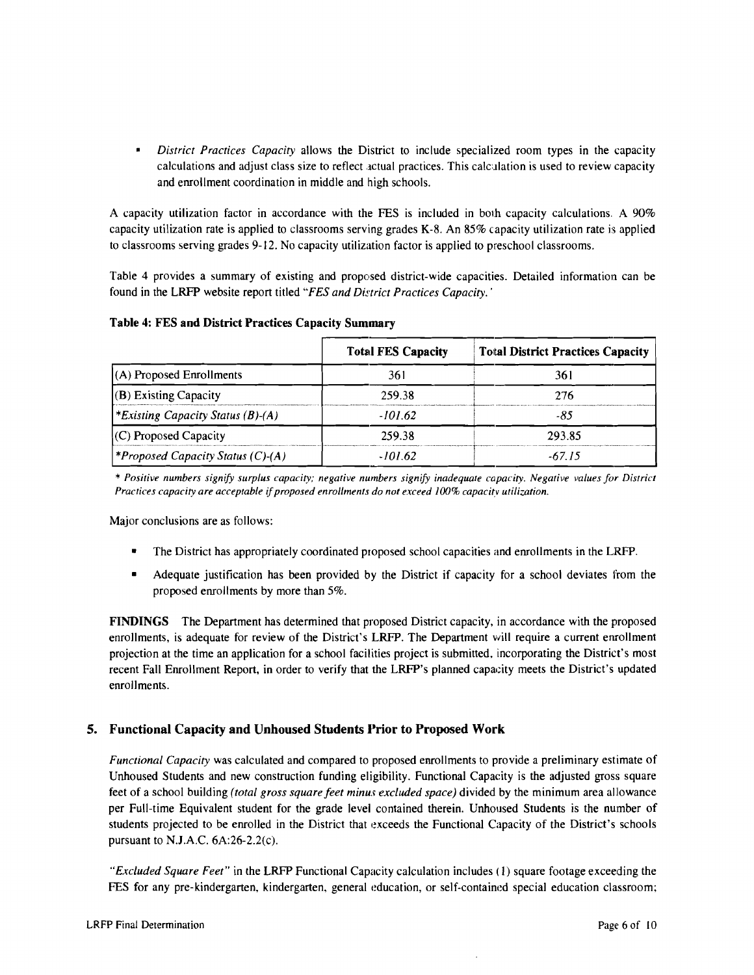$\blacksquare$ *District Practices Capacity* allows the District to include specialized room types in the capacity calculations and adjust class size to reflect actual practices. This calculation is used to review capacity and enrollment coordination in middle and high schools.

A capacity utilization factor in accordance with the FES is included in both capacity calculations. A 90% capacity utilization rate is applied to classrooms serving grades K-8. An 85% capacity utilization rate is applied to classrooms serving grades 9-12. No capacity utilization factor is applied to preschool classrooms.

Table 4 provides a summary of existing and proposed district-wide capacities. Detailed information can be found in the LRFP website report titled "FES and District Practices Capacity.'

|                                                 | <b>Total FES Capacity</b> | <b>Total District Practices Capacity</b> |  |
|-------------------------------------------------|---------------------------|------------------------------------------|--|
| (A) Proposed Enrollments                        | 361                       | 361                                      |  |
| $(B)$ Existing Capacity                         | 259.38                    | 276                                      |  |
| <i><b>*Existing Capacity Status (B)-(A)</b></i> | -101.62                   | -85                                      |  |
| $(C)$ Proposed Capacity                         | 259.38                    | 293.85                                   |  |
| <i><b>*Proposed Capacity Status (C)-(A)</b></i> | -101.62                   | -67.15                                   |  |

Table 4: FES and District Practices Capacity Summary

\* *Positive numbers signify surplus capacity; negative numbers signify inadequate capacity. Negative values for District Practices capacity are acceptable* if*proposed enrollments do not exceed 100% capacitv utilization.* 

Major conclusions are as follows:

- The District has appropriately coordinated proposed school capacities and enrollments in the LRFP.
- Adequate justification has been provided by the District if capacity for a school deviates from the proposed enrollments by more than 5%.

FINDINGS The Department has determined that proposed District capacity, in accordance with the proposed enrollments, is adequate for review of the District's LRFP. The Department will require a current enrollment projection at the time an application for a school facilities project is submitted, incorporating the District's most recent Fall Enrollment Report, in order to verify that the LRFP's planned capacity meets the District's updated enrollments.

## 5. Functional Capacity and Unhoused Students Prior to Proposed Work

*Functional Capacity* was calculated and compared to proposed enrollments to provide a preliminary estimate of Unhoused Students and new construction funding eligibility. Functional Capacity is the adjusted gross square feet of a school building *(total gross square feet minus excluded space)* divided by the minimum area allowance per Full-time Equivalent student for the grade level contained therein. Unhoused Students is the number of students projected to be enrolled in the District that exceeds the Functional Capacity of the District's schools pursuant to NJ.A.C. 6A:26-2.2(c).

*"Excluded Square Feet"* in the LRFP Functional Capacity calculation includes (I) square footage exceeding the FES for any pre-kindergarten, kindergarten, general education, or self-contained special education classroom;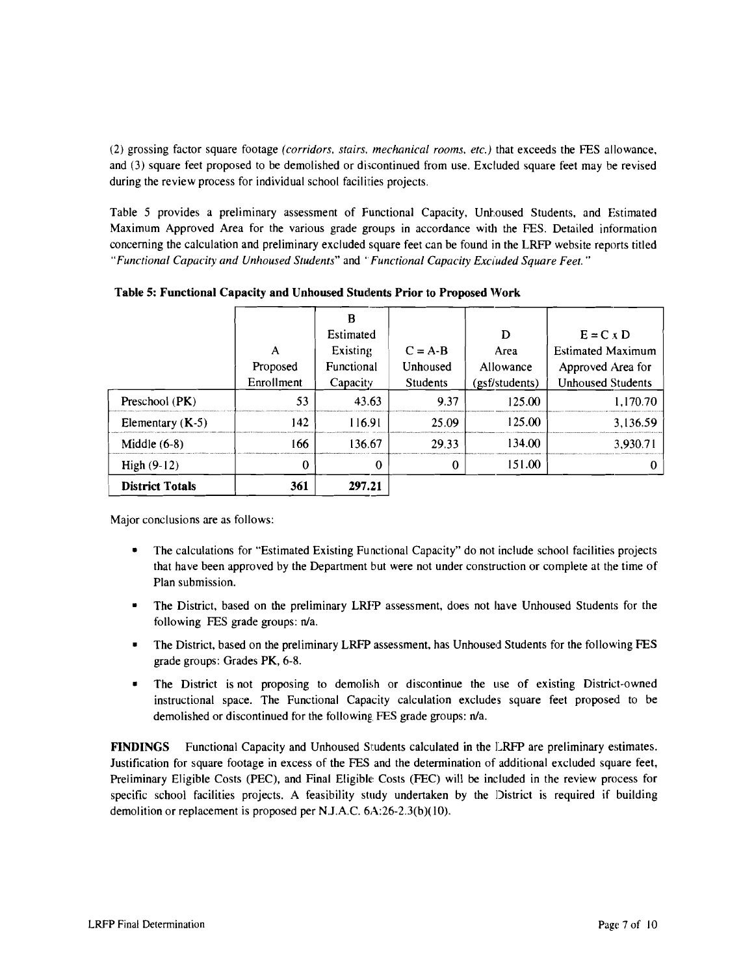(2) grossing factor square footage *(corridors. stairs. mechanical rooms. etc.)* that exceeds the FES allowance, and (3) square feet proposed to be demolished or discontinued from use. Excluded square feet may be revised during the review process for individual school facilities projects.

Table 5 provides a preliminary assessment of Functional Capacity, Unhoused Students, and Estimated Maximum Approved Area for the various grade groups in accordance with the FES. Detailed information concerning the calculation and preliminary excluded square feet can be found in the LRFP website reports titled "Functional Capacity and Unhoused Students" and "Functional Capacity Excluded Square Feet."

|                        |            | B          |                 |                |                          |
|------------------------|------------|------------|-----------------|----------------|--------------------------|
|                        |            | Estimated  |                 | D              | $E = C \times D$         |
|                        | А          | Existing   | $C = A-B$       | Area           | <b>Estimated Maximum</b> |
|                        | Proposed   | Functional | Unhoused        | Allowance      | Approved Area for        |
|                        | Enrollment | Capacity   | <b>Students</b> | (gsf/students) | <b>Unhoused Students</b> |
| Preschool $(PK)$       | 53         | 43.63      | 9.37            | 125.00         | 1,170.70                 |
| Elementary $(K-5)$     | 142        | 116.91     | 25.09           | 125.00         | 3,136.59                 |
| Middle $(6-8)$         | 166        | 136.67     | 29.33           | 134.00         | 3.930.71                 |
| High $(9-12)$          | 0          | $\Omega$   | 0               | 151.00         |                          |
| <b>District Totals</b> | 361        | 297.21     |                 |                |                          |

Table 5: Functional Capacity and Unhoused Students Prior to Proposed Work

Major conclusions are as follows:

- The calculations for "Estimated Existing Functional Capacity" do not include school facilities projects that have been approved by the Department but were not under construction or complete at the time of Plan submission.
- The District, based on the preliminary LRFP assessment, does not have Unhoused Students for the following FES grade groups: n/a.
- The District, based on the preliminary LRFP assessment, has Unhoused Students for the following FES grade groups: Grades PK, 6-8.
- The District is not proposing to demolish or discontinue the use of existing District-owned instructional space. The Functional Capacity calculation excludes square feet proposed to be demolished or discontinued for the following FES grade groups: n/a.

FINDINGS Functional Capacity and Unhoused Students calculated in the LRFP are preliminary estimates. Justification for square footage in excess of the FES and the determination of additional excluded square feet, Preliminary Eligible Costs (PEC), and Final Eligible Costs (FEC) will be included in the review process for specific school facilities projects. A feasibility study undertaken by the District is required if building demolition or replacement is proposed per N.J.A.C. 6A:26-2.3(b)(10).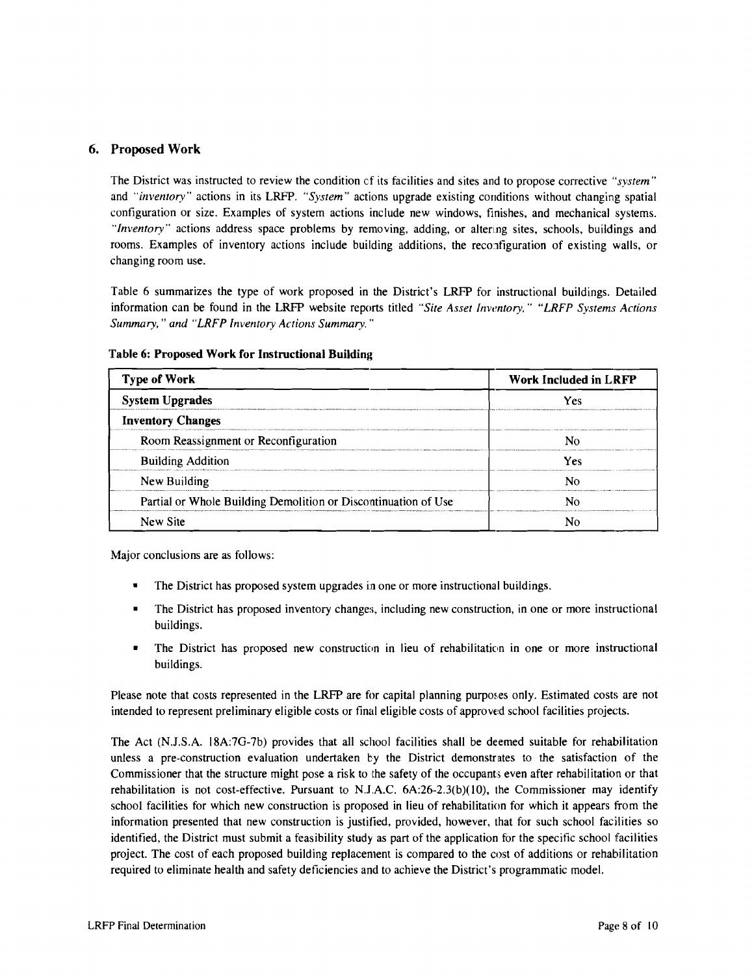#### 6. Proposed Work

The District was instructed to review the condition cf its facilities and sites and to propose corrective *"system"*  and *"inventory"* actions in its LRFP. *"System"* actions upgrade existing conditions without changing spatial configuration or size. Examples of system actions include new windows, finishes, and mechanical systems. "Inventory" actions address space problems by removing, adding, or altering sites, schools, buildings and rooms. Examples of inventory actions include building additions, the reconfiguration of existing walls, or changing room use.

Table 6 summarizes the type of work proposed in the District's LRFP for instructional buildings. Detailed information can be found in the LRFP website reports titled *"Site Asset Inventory," "LRFP Systems Actions Summary,* .. *and "LRFP Inventory Actions Summary. "* 

| <b>Type of Work</b>                                            | <b>Work Included in LRFP</b> |  |  |
|----------------------------------------------------------------|------------------------------|--|--|
| <b>System Upgrades</b>                                         | Yes                          |  |  |
| <b>Inventory Changes</b>                                       |                              |  |  |
| Room Reassignment or Reconfiguration                           |                              |  |  |
| <b>Building Addition</b>                                       | Yes                          |  |  |
| New Building                                                   |                              |  |  |
| Partial or Whole Building Demolition or Discontinuation of Use |                              |  |  |
| New Site                                                       |                              |  |  |

#### Table 6: Proposed Work for Instructional Building

Major conclusions are as follows:

- The District has proposed system upgrades in one or more instructional buildings.
- The District has proposed inventory changes, including new construction, in one or more instructional buildings.
- The District has proposed new construction in lieu of rehabilitation in one or more instructional buildings.

Please note that costs represented in the LRFP are for capital planning purposes only. Estimated costs are not intended to represent preliminary eligible costs or final eligible costs of approved school facilities projects.

The Act (N.l.S.A. 18A:7G-7b) provides that all school facilities shall be deemed suitable for rehabilitation unless a pre-construction evaluation undertaken by the District demonstrates to the satisfaction of the Commissioner that the structure might pose a risk to the safety of the occupants even after rehabilitation or that rehabilitation is not cost-effective. Pursuant to N.JAC. 6A:26-2.3(b)(lO), the Commissioner may identify school facilities for which new construction is proposed in lieu of rehabilitation for which it appears from the information presented that new construction is justified, provided, however, that for such school facilities so identified, the District must submit a feasibility study as part of the application for the specific school facilities project. The cost of each proposed building replacement is compared to the cost of additions or rehabilitation required to eliminate health and safety deficiencies and to achieve the District's programmatic model.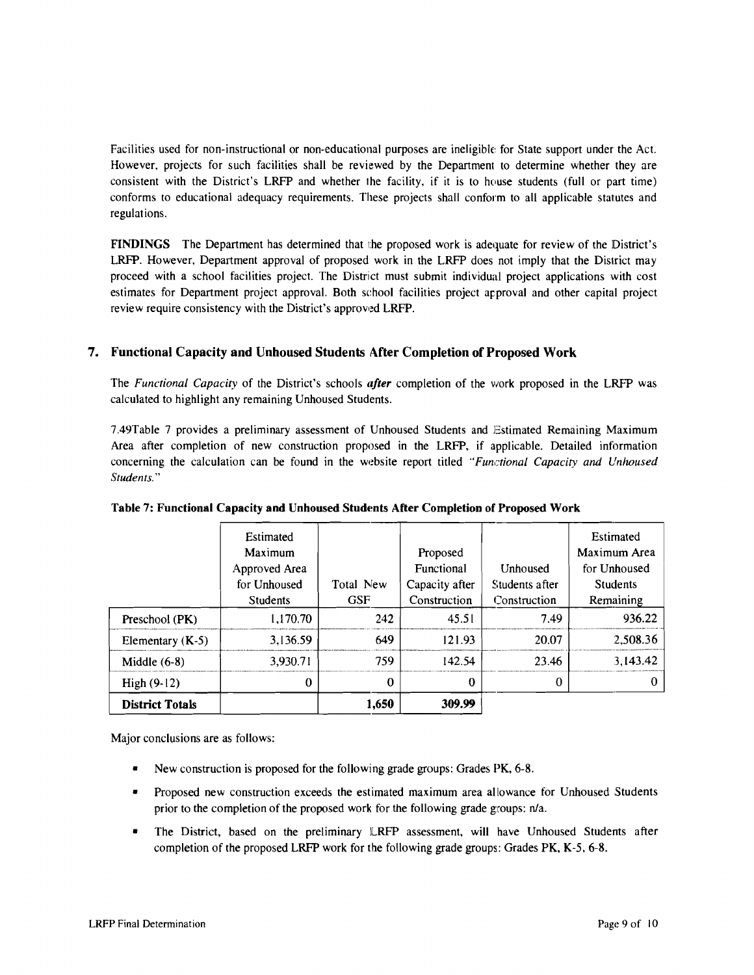Facilities used for non-instructional or non-educational purposes are ineligible for State support under the Act. However, projects for such facilities shall be reviewed by the Department to determine whether they are consistent with the District's LRFP and whether the facility. if it is to house students (full or part time) conforms to educational adequacy requirements. These projects shall conform to all applicable statutes and regulations.

FINDINGS The Department has determined that the proposed work is adequate for review of the District's LRFP. However, Department approval of proposed work in the LRFP does not imply that the District may proceed with a school facilities project. The District must submit individual project applications with cost estimates for Department project approval. Both school facilities project approval and other capital project review require consistency with the District's approved LRFP.

## 7. Functional Capacity and Unhoused Students After Completion of Proposed Work

The *Functional Capacity* of the District's schools *after* completion of the work proposed in the LRFP was calculated to highlight any remaining Unhoused Students.

7.49Table 7 provides a preliminary assessment of Unhoused Students and Estimated Remaining Maximum Area after completion of new construction proposed in the LRFP, if applicable. Detailed information concerning the calculation can be found in the website report titled *"Functional Capacity and Unhoused Students."* 

| High $(9-12)$      |                                                                          |                         |                                                          |                                            |                                                                           |
|--------------------|--------------------------------------------------------------------------|-------------------------|----------------------------------------------------------|--------------------------------------------|---------------------------------------------------------------------------|
|                    | $\Omega$                                                                 | $\theta$                | 0                                                        |                                            |                                                                           |
| Middle $(6-8)$     | 3,930.71                                                                 | 759                     | 142.54                                                   | 23.46                                      | 3,143.42                                                                  |
| Elementary $(K-5)$ | 3,136.59                                                                 | 649                     | 121.93                                                   | 20.07                                      | 2,508.36                                                                  |
| Preschool (PK)     | 1,170.70                                                                 | 242                     | 45.51                                                    | 7.49                                       | 936.22                                                                    |
|                    | Estimated<br>Maximum<br>Approved Area<br>for Unhoused<br><b>Students</b> | Total New<br><b>GSF</b> | Proposed<br>Functional<br>Capacity after<br>Construction | Unhoused<br>Students after<br>Construction | Estimated<br>Maximum Area<br>for Unhoused<br><b>Students</b><br>Remaining |

#### Table 7: Functional Capacity and Unhoused Students After Completion of Proposed Work

Major conclusions are as follows:

- New construction is proposed for the following grade groups: Grades PK, 6-8.
- Proposed new construction exceeds the estimated maximum area allowance for Unhoused Students prior to the completion of the proposed work for the following grade groups: n/a.
- The District, based on the preliminary LRFP assessment, will have Unhoused Students after completion of the proposed LRFP work for the following grade groups: Grades PK, K-5, 6-8.